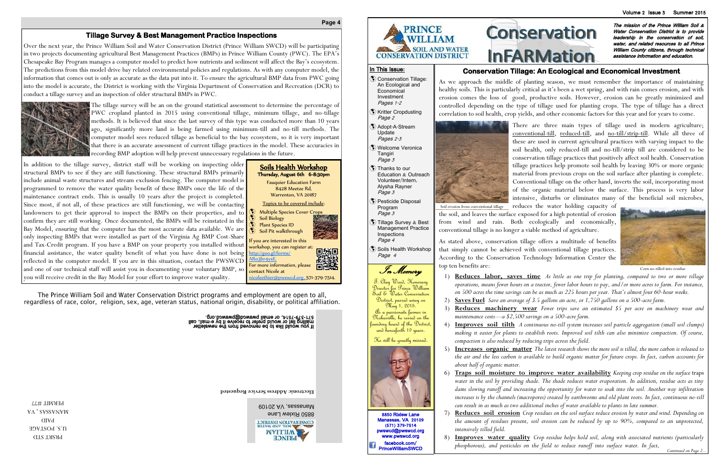**Electronic Address Service Requested**

# **Conservation InFARMation**

The mission of the Prince William Soil & Water Conservation District is to provide leadership in the conservation of soil, water, and related resources to all Prince William County citizens, through technical assistance information and education.

Manassas, VA 20109 8850 Rixlew Lane CONSEBNATION DISTRICT **IVM GNV TIOS** 

8850 Rixlew Lane Manassas, VA 20109 (571) 379-7514 pwswcd@pwswcd.org www.pwswcd.org facebook.com/ **PrinceWilliamSWCD** 



### **Page 4**

PRSRT STD U.S. POSTAGE PAID **VA** 'SVSSVNVW PERMIT #77

# **Conservation Tillage: An Ecological and Economical Investment**

As we approach the middle of planting season, we must remember the importance of maintaining healthy soils. This is particularly critical as it's been a wet spring, and with rain comes erosion, and with erosion comes the loss of good, productive soils. However, erosion can be greatly minimized and controlled depending on the type of tillage used for planting crops. The type of tillage has a direct correlation to soil health, crop yields, and other economic factors for this year and for years to come.



There are three main types of tillage used in modern agriculture; conventional-till, reduced-till, and no-till/strip-till. While all three of these are used in current agricultural practices with varying impact to the soil health, only reduced-till and no-till/strip till are considered to be conservation tillage practices that positively affect soil health. Conservation tillage practices help promote soil health by leaving 30% or more organic material from previous crops on the soil surface after planting is complete. Conventional tillage on the other hand, inverts the soil, incorporating most of the organic material below the surface. This process is very labor intensive, disturbs or eliminates many of the beneficial soil microbes,

As stated above, conservation tillage offers a multitude of benefits that simply cannot be achieved with conventional tillage practices. According to the Conservation Technology Information Center the top ten benefits are:

1) **Reduces labor, saves time** *As little as one trip for planting, compared to two or more tillage operations, means fewer hours on a tractor, fewer labor hours to pay, and/or more acres to farm. For instance, on 500 acres the time savings can be as much as 225 hours per year. That's almost four 60-hour weeks.*

2) **Saves Fuel** *Save an average of 3.5 gallons an acre, or 1,750 gallons on a 500-acre farm.*

3) **Reduces machinery wear** *Fewer trips save an estimated \$5 per acre on machinery wear and* 

4) **Improves soil tilth** *A continuous no-till system increases soil particle aggregation (small soil clumps) making it easier for plants to establish roots. Improved soil tilth can also minimize compaction. Of course,* 

5) **Increases organic matter** *The latest research shows the more soil is tilled, the more carbon is released to the air and the less carbon is available to build organic matter for future crops. In fact, carbon accounts for* 

- 
- 
- *maintenance costs—a \$2,500 savings on a 500-acre farm.*
- *compaction is also reduced by reducing trips across the field.*
- *about half of organic matter.*
- 
- *intensively tilled field.*
- 

6) **Traps soil moisture to improve water availability** *Keeping crop residue on the surface* traps *water in the soil by providing shade. The shade reduces water evaporation. In addition, residue acts as tiny dams slowing runoff and increasing the opportunity for water to soak into the soil. Another way infiltration increases is by the channels (macropores) created by earthworms and old plant roots. In fact, continuous no-till can result in as much as two additional inches of water available to plants in late summer.*

l<br>S T. Clay Wood, Honorary Director for Prince William Soil & Water Conservation District, passed away on May 1, 2015. As a passionate farmer in

> 7) **Reduces soil erosion** *Crop residues on the soil surface reduce erosion by water and wind. Depending on the amount of residues present, soil erosion can be reduced by up to 90%, compared to an unprotected,*

### In This Issue:

8) **Improves water quality** *Crop residue helps hold soil, along with associated nutrients (particularly phosphorous), and pesticides on the field to reduce runoff into surface water. In fact, Continued on Page 2...*

- Conservation Tillage: An Ecological and **Economical** Investment Pages 1-2
- Kritter Cropdusting Page 2
- Adopt-A-Stream Update Pages 2-3
- Welcome Veronica **Tangiri** Page 3
- Thanks to our Education & Outreach Volunteer/Intern, Alysha Rayner Page 3
- Pesticide Disposal Program Page 3
- $$$  Tillage Survey  $\&$  Best Management Practice Inspections
- Page 4 Soils Health Workshop Page 4

## **Tillage Survey & Best Management Practice Inspections**

reduces the water holding capacity of the soil, and leaves the surface exposed for a high potential of erosion from wind and rain. Both ecologically and economically, conventional tillage is no longer a viable method of agriculture. Soil erosion from conventional tillage

Over the next year, the Prince William Soil and Water Conservation District (Prince William SWCD) will be participating in two projects documenting agricultural Best Management Practices (BMPs) in Prince William County (PWC). The EPA's Chesapeake Bay Program manages a computer model to predict how nutrients and sediment will affect the Bay's ecosystem. The predictions from this model drive bay related environmental policies and regulations. As with any computer model, the information that comes out is only as accurate as the data put into it. To ensure the agricultural BMP data from PWC going into the model is accurate, the District is working with the Virginia Department of Conservation and Recreation (DCR) to conduct a tillage survey and an inspection of older structural BMPs in PWC.



The tillage survey will be an on the ground statistical assessment to determine the percentage of PWC cropland planted in 2015 using conventional tillage, minimum tillage, and no-tillage methods. It is believed that since the last survey of this type was conducted more than 10 years ago, significantly more land is being farmed using minimum-till and no-till methods. The computer model sees reduced tillage as beneficial to the bay ecosystem, so it is very important that there is an accurate assessment of current tillage practices in the model. These accuracies in recording BMP adoption will help prevent unnecessary regulations in the future.

In addition to the tillage survey, district staff will be working on inspecting older structural BMPs to see if they are still functioning. These structural BMPs primarily include animal waste structures and stream exclusion fencing. The computer model is programmed to remove the water quality benefit of these BMPs once the life of the maintenance contract ends. This is usually 10 years after the project is completed. Since most, if not all, of these practices are still functioning, we will be contacting landowners to get their approval to inspect the BMPs on their properties, and to confirm they are still working. Once documented, the BMPs will be reinstated in the Bay Model, ensuring that the computer has the most accurate data available. We are only inspecting BMPs that were installed as part of the Virginia Ag BMP Cost-Share and Tax-Credit program. If you have a BMP on your property you installed without financial assistance, the water quality benefit of what you have done is not being reflected in the computer model. If you are in this situation, contact the PWSWCD and one of our technical staff will assist you in documenting your voluntary BMP, so you will receive credit in the Bay Model for your effort to improve water quality.

The Prince William Soil and Water Conservation District programs and employment are open to all, regardless of race, color, religion, sex, age, veteran status, national origin, disability, or political affiliation.

If you would like to be removed from the newsletter all of the mewsletter<br>mailing list or would prefer to receive it by e-mail, call<br>mail ist or would his mewsletter to receive it by e-mail, call

Soils Health Workshop Thursday, August 6th 6-8:30pm Fauquier Education Farm 8428 Meetze Rd, Warrenton, VA 20187 Topics to be covered include: Multiple Species Cover Crops

 Soil Biology Plant Species ID Soil Pit walkthrough  $\mathsf f$  you are interested in this workshop, you can register at:

http://goo.gl/forms/ ARo3br4yxE.

For more information, please

contact Nicole at

nicoleethier@pwswcd.org, 571-379-7514.

回肠回

圖幾

**WATTIM PRINCE** 







Corn no-tilled into residue

Nokesville, he served on the unding board of the District and henceforth 19 years.

He will be greatly missed.